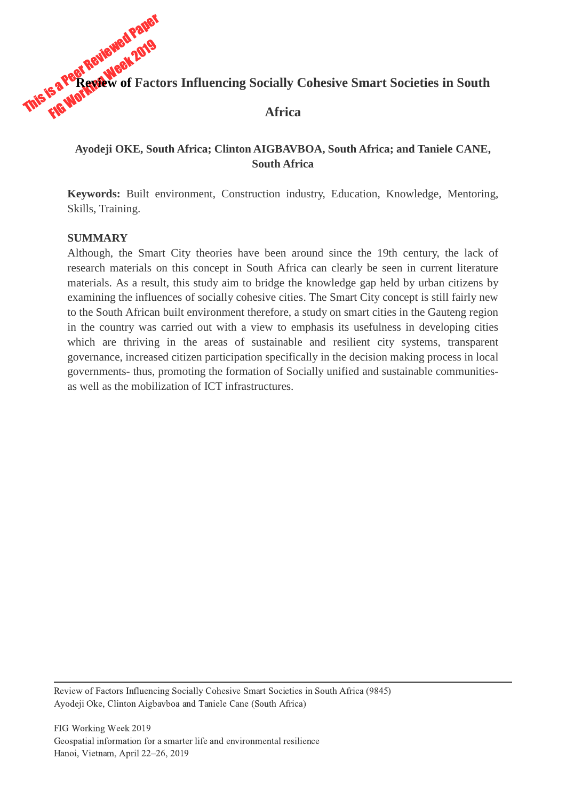

# **Ayodeji OKE, South Africa; Clinton AIGBAVBOA, South Africa; and Taniele CANE, South Africa**

**Keywords:** Built environment, Construction industry, Education, Knowledge, Mentoring, Skills, Training.

#### **SUMMARY**

Although, the Smart City theories have been around since the 19th century, the lack of research materials on this concept in South Africa can clearly be seen in current literature materials. As a result, this study aim to bridge the knowledge gap held by urban citizens by examining the influences of socially cohesive cities. The Smart City concept is still fairly new to the South African built environment therefore, a study on smart cities in the Gauteng region in the country was carried out with a view to emphasis its usefulness in developing cities which are thriving in the areas of sustainable and resilient city systems, transparent governance, increased citizen participation specifically in the decision making process in local governments- thus, promoting the formation of Socially unified and sustainable communitiesas well as the mobilization of ICT infrastructures.

Review of Factors Influencing Socially Cohesive Smart Societies in South Africa (9845) Ayodeji Oke, Clinton Aigbavboa and Taniele Cane (South Africa)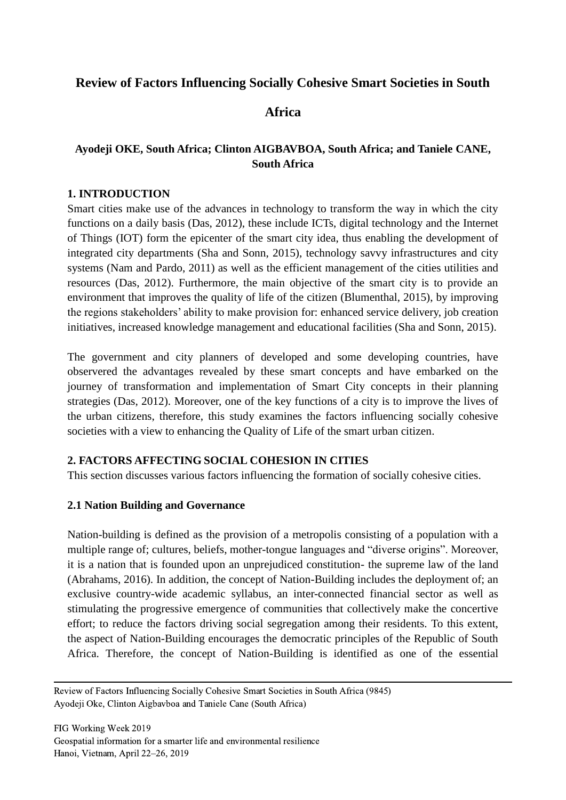# **Review of Factors Influencing Socially Cohesive Smart Societies in South**

# **Africa**

# **Ayodeji OKE, South Africa; Clinton AIGBAVBOA, South Africa; and Taniele CANE, South Africa**

#### **1. INTRODUCTION**

Smart cities make use of the advances in technology to transform the way in which the city functions on a daily basis (Das, 2012), these include ICTs, digital technology and the Internet of Things (IOT) form the epicenter of the smart city idea, thus enabling the development of integrated city departments (Sha and Sonn, 2015), technology savvy infrastructures and city systems (Nam and Pardo, 2011) as well as the efficient management of the cities utilities and resources (Das, 2012). Furthermore, the main objective of the smart city is to provide an environment that improves the quality of life of the citizen (Blumenthal, 2015), by improving the regions stakeholders' ability to make provision for: enhanced service delivery, job creation initiatives, increased knowledge management and educational facilities (Sha and Sonn, 2015).

The government and city planners of developed and some developing countries, have observered the advantages revealed by these smart concepts and have embarked on the journey of transformation and implementation of Smart City concepts in their planning strategies (Das, 2012). Moreover, one of the key functions of a city is to improve the lives of the urban citizens, therefore, this study examines the factors influencing socially cohesive societies with a view to enhancing the Quality of Life of the smart urban citizen.

## **2. FACTORS AFFECTING SOCIAL COHESION IN CITIES**

This section discusses various factors influencing the formation of socially cohesive cities.

## **2.1 Nation Building and Governance**

Nation-building is defined as the provision of a metropolis consisting of a population with a multiple range of; cultures, beliefs, mother-tongue languages and "diverse origins". Moreover, it is a nation that is founded upon an unprejudiced constitution- the supreme law of the land (Abrahams, 2016). In addition, the concept of Nation-Building includes the deployment of; an exclusive country-wide academic syllabus, an inter-connected financial sector as well as stimulating the progressive emergence of communities that collectively make the concertive effort; to reduce the factors driving social segregation among their residents. To this extent, the aspect of Nation-Building encourages the democratic principles of the Republic of South Africa. Therefore, the concept of Nation-Building is identified as one of the essential

Review of Factors Influencing Socially Cohesive Smart Societies in South Africa (9845) Ayodeji Oke, Clinton Aigbavboa and Taniele Cane (South Africa)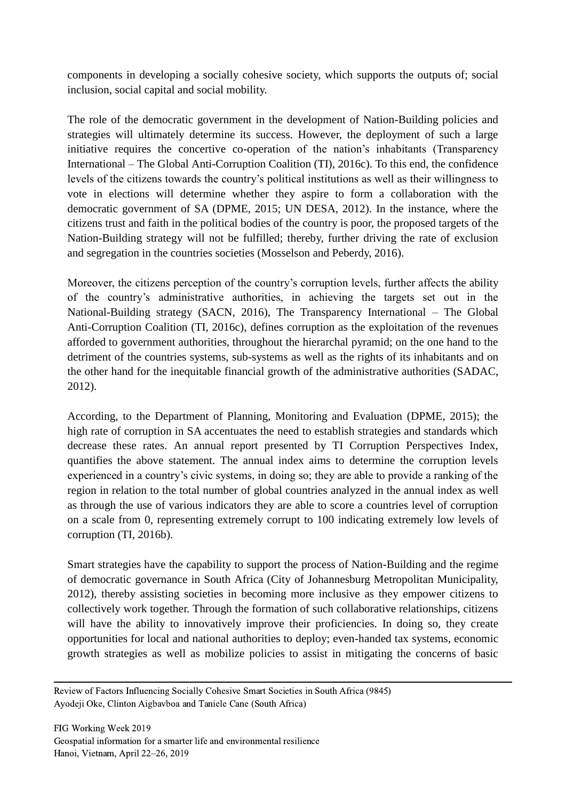components in developing a socially cohesive society, which supports the outputs of; social inclusion, social capital and social mobility.

The role of the democratic government in the development of Nation-Building policies and strategies will ultimately determine its success. However, the deployment of such a large initiative requires the concertive co-operation of the nation's inhabitants (Transparency International – The Global Anti-Corruption Coalition (TI), 2016c). To this end, the confidence levels of the citizens towards the country's political institutions as well as their willingness to vote in elections will determine whether they aspire to form a collaboration with the democratic government of SA (DPME, 2015; UN DESA, 2012). In the instance, where the citizens trust and faith in the political bodies of the country is poor, the proposed targets of the Nation-Building strategy will not be fulfilled; thereby, further driving the rate of exclusion and segregation in the countries societies (Mosselson and Peberdy, 2016).

Moreover, the citizens perception of the country's corruption levels, further affects the ability of the country's administrative authorities, in achieving the targets set out in the National-Building strategy (SACN, 2016), The Transparency International – The Global Anti-Corruption Coalition (TI, 2016c), defines corruption as the exploitation of the revenues afforded to government authorities, throughout the hierarchal pyramid; on the one hand to the detriment of the countries systems, sub-systems as well as the rights of its inhabitants and on the other hand for the inequitable financial growth of the administrative authorities (SADAC, 2012).

According, to the Department of Planning, Monitoring and Evaluation (DPME, 2015); the high rate of corruption in SA accentuates the need to establish strategies and standards which decrease these rates. An annual report presented by TI Corruption Perspectives Index, quantifies the above statement. The annual index aims to determine the corruption levels experienced in a country's civic systems, in doing so; they are able to provide a ranking of the region in relation to the total number of global countries analyzed in the annual index as well as through the use of various indicators they are able to score a countries level of corruption on a scale from 0, representing extremely corrupt to 100 indicating extremely low levels of corruption (TI, 2016b).

Smart strategies have the capability to support the process of Nation-Building and the regime of democratic governance in South Africa (City of Johannesburg Metropolitan Municipality, 2012), thereby assisting societies in becoming more inclusive as they empower citizens to collectively work together. Through the formation of such collaborative relationships, citizens will have the ability to innovatively improve their proficiencies. In doing so, they create opportunities for local and national authorities to deploy; even-handed tax systems, economic growth strategies as well as mobilize policies to assist in mitigating the concerns of basic

Review of Factors Influencing Socially Cohesive Smart Societies in South Africa (9845) Ayodeji Oke, Clinton Aigbavboa and Taniele Cane (South Africa)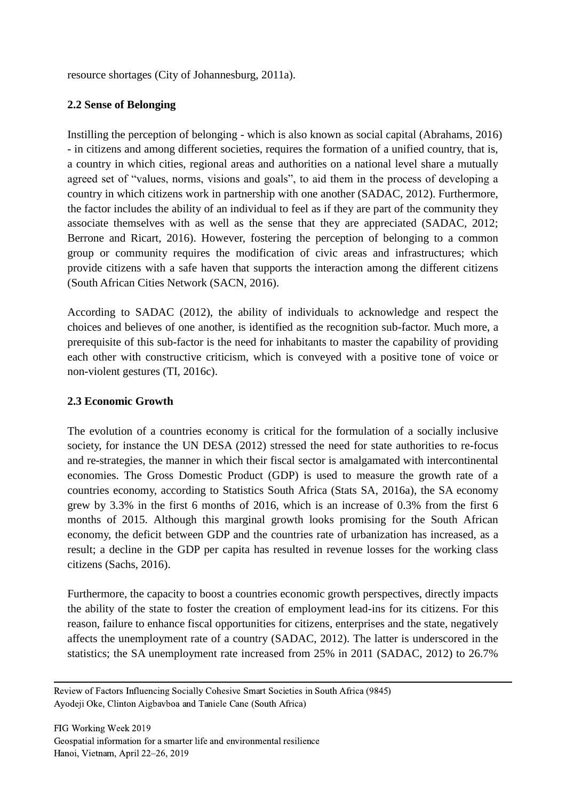resource shortages (City of Johannesburg, 2011a).

## **2.2 Sense of Belonging**

Instilling the perception of belonging - which is also known as social capital (Abrahams, 2016) - in citizens and among different societies, requires the formation of a unified country, that is, a country in which cities, regional areas and authorities on a national level share a mutually agreed set of "values, norms, visions and goals", to aid them in the process of developing a country in which citizens work in partnership with one another (SADAC, 2012). Furthermore, the factor includes the ability of an individual to feel as if they are part of the community they associate themselves with as well as the sense that they are appreciated (SADAC, 2012; Berrone and Ricart, 2016). However, fostering the perception of belonging to a common group or community requires the modification of civic areas and infrastructures; which provide citizens with a safe haven that supports the interaction among the different citizens (South African Cities Network (SACN, 2016).

According to SADAC (2012), the ability of individuals to acknowledge and respect the choices and believes of one another, is identified as the recognition sub-factor. Much more, a prerequisite of this sub-factor is the need for inhabitants to master the capability of providing each other with constructive criticism, which is conveyed with a positive tone of voice or non-violent gestures (TI, 2016c).

## **2.3 Economic Growth**

The evolution of a countries economy is critical for the formulation of a socially inclusive society, for instance the UN DESA (2012) stressed the need for state authorities to re-focus and re-strategies, the manner in which their fiscal sector is amalgamated with intercontinental economies. The Gross Domestic Product (GDP) is used to measure the growth rate of a countries economy, according to Statistics South Africa (Stats SA, 2016a), the SA economy grew by 3.3% in the first 6 months of 2016, which is an increase of 0.3% from the first 6 months of 2015. Although this marginal growth looks promising for the South African economy, the deficit between GDP and the countries rate of urbanization has increased, as a result; a decline in the GDP per capita has resulted in revenue losses for the working class citizens (Sachs, 2016).

Furthermore, the capacity to boost a countries economic growth perspectives, directly impacts the ability of the state to foster the creation of employment lead-ins for its citizens. For this reason, failure to enhance fiscal opportunities for citizens, enterprises and the state, negatively affects the unemployment rate of a country (SADAC, 2012). The latter is underscored in the statistics; the SA unemployment rate increased from 25% in 2011 (SADAC, 2012) to 26.7%

Review of Factors Influencing Socially Cohesive Smart Societies in South Africa (9845) Ayodeji Oke, Clinton Aigbavboa and Taniele Cane (South Africa)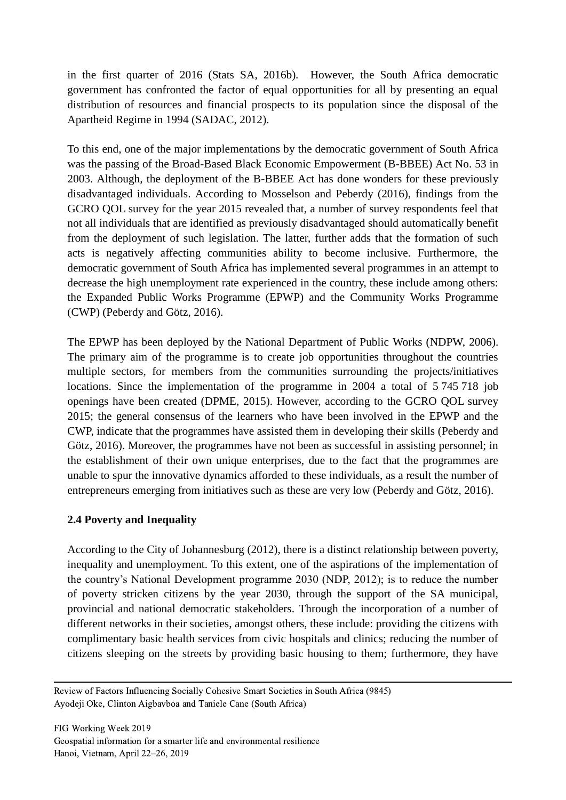in the first quarter of 2016 (Stats SA, 2016b). However, the South Africa democratic government has confronted the factor of equal opportunities for all by presenting an equal distribution of resources and financial prospects to its population since the disposal of the Apartheid Regime in 1994 (SADAC, 2012).

To this end, one of the major implementations by the democratic government of South Africa was the passing of the Broad-Based Black Economic Empowerment (B-BBEE) Act No. 53 in 2003. Although, the deployment of the B-BBEE Act has done wonders for these previously disadvantaged individuals. According to Mosselson and Peberdy (2016), findings from the GCRO QOL survey for the year 2015 revealed that, a number of survey respondents feel that not all individuals that are identified as previously disadvantaged should automatically benefit from the deployment of such legislation. The latter, further adds that the formation of such acts is negatively affecting communities ability to become inclusive. Furthermore, the democratic government of South Africa has implemented several programmes in an attempt to decrease the high unemployment rate experienced in the country, these include among others: the Expanded Public Works Programme (EPWP) and the Community Works Programme (CWP) (Peberdy and Götz, 2016).

The EPWP has been deployed by the National Department of Public Works (NDPW, 2006). The primary aim of the programme is to create job opportunities throughout the countries multiple sectors, for members from the communities surrounding the projects/initiatives locations. Since the implementation of the programme in 2004 a total of 5 745 718 job openings have been created (DPME, 2015). However, according to the GCRO QOL survey 2015; the general consensus of the learners who have been involved in the EPWP and the CWP, indicate that the programmes have assisted them in developing their skills (Peberdy and Götz, 2016). Moreover, the programmes have not been as successful in assisting personnel; in the establishment of their own unique enterprises, due to the fact that the programmes are unable to spur the innovative dynamics afforded to these individuals, as a result the number of entrepreneurs emerging from initiatives such as these are very low (Peberdy and Götz, 2016).

## **2.4 Poverty and Inequality**

According to the City of Johannesburg (2012), there is a distinct relationship between poverty, inequality and unemployment. To this extent, one of the aspirations of the implementation of the country's National Development programme 2030 (NDP, 2012); is to reduce the number of poverty stricken citizens by the year 2030, through the support of the SA municipal, provincial and national democratic stakeholders. Through the incorporation of a number of different networks in their societies, amongst others, these include: providing the citizens with complimentary basic health services from civic hospitals and clinics; reducing the number of citizens sleeping on the streets by providing basic housing to them; furthermore, they have

Review of Factors Influencing Socially Cohesive Smart Societies in South Africa (9845) Ayodeji Oke, Clinton Aigbavboa and Taniele Cane (South Africa)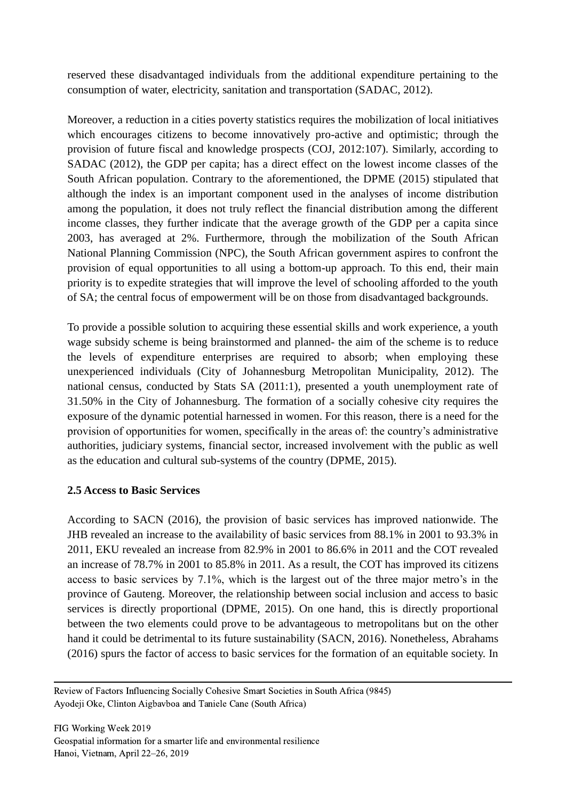reserved these disadvantaged individuals from the additional expenditure pertaining to the consumption of water, electricity, sanitation and transportation (SADAC, 2012).

Moreover, a reduction in a cities poverty statistics requires the mobilization of local initiatives which encourages citizens to become innovatively pro-active and optimistic; through the provision of future fiscal and knowledge prospects (COJ, 2012:107). Similarly, according to SADAC (2012), the GDP per capita; has a direct effect on the lowest income classes of the South African population. Contrary to the aforementioned, the DPME (2015) stipulated that although the index is an important component used in the analyses of income distribution among the population, it does not truly reflect the financial distribution among the different income classes, they further indicate that the average growth of the GDP per a capita since 2003, has averaged at 2%. Furthermore, through the mobilization of the South African National Planning Commission (NPC), the South African government aspires to confront the provision of equal opportunities to all using a bottom-up approach. To this end, their main priority is to expedite strategies that will improve the level of schooling afforded to the youth of SA; the central focus of empowerment will be on those from disadvantaged backgrounds.

To provide a possible solution to acquiring these essential skills and work experience, a youth wage subsidy scheme is being brainstormed and planned- the aim of the scheme is to reduce the levels of expenditure enterprises are required to absorb; when employing these unexperienced individuals (City of Johannesburg Metropolitan Municipality, 2012). The national census, conducted by Stats SA (2011:1), presented a youth unemployment rate of 31.50% in the City of Johannesburg. The formation of a socially cohesive city requires the exposure of the dynamic potential harnessed in women. For this reason, there is a need for the provision of opportunities for women, specifically in the areas of: the country's administrative authorities, judiciary systems, financial sector, increased involvement with the public as well as the education and cultural sub-systems of the country (DPME, 2015).

## **2.5 Access to Basic Services**

According to SACN (2016), the provision of basic services has improved nationwide. The JHB revealed an increase to the availability of basic services from 88.1% in 2001 to 93.3% in 2011, EKU revealed an increase from 82.9% in 2001 to 86.6% in 2011 and the COT revealed an increase of 78.7% in 2001 to 85.8% in 2011. As a result, the COT has improved its citizens access to basic services by 7.1%, which is the largest out of the three major metro's in the province of Gauteng. Moreover, the relationship between social inclusion and access to basic services is directly proportional (DPME, 2015). On one hand, this is directly proportional between the two elements could prove to be advantageous to metropolitans but on the other hand it could be detrimental to its future sustainability (SACN, 2016). Nonetheless, Abrahams (2016) spurs the factor of access to basic services for the formation of an equitable society. In

Review of Factors Influencing Socially Cohesive Smart Societies in South Africa (9845) Ayodeji Oke, Clinton Aigbavboa and Taniele Cane (South Africa)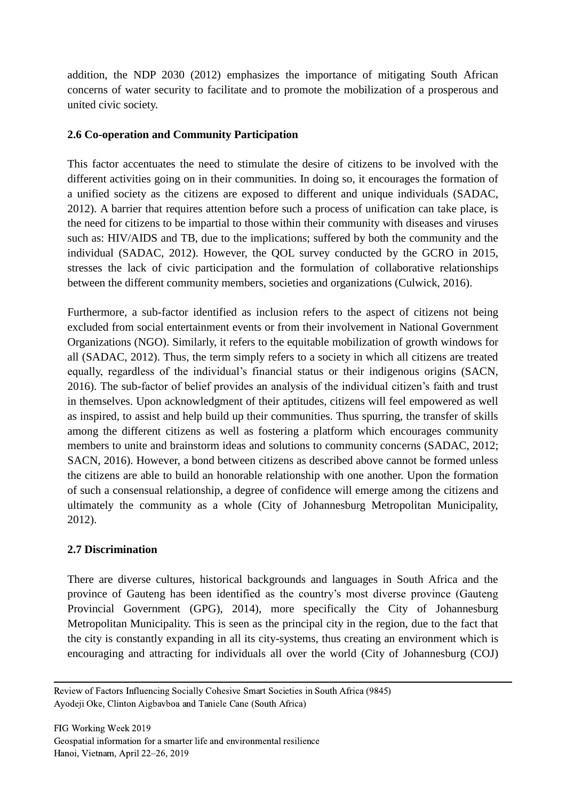addition, the NDP 2030 (2012) emphasizes the importance of mitigating South African concerns of water security to facilitate and to promote the mobilization of a prosperous and united civic society.

## **2.6 Co-operation and Community Participation**

This factor accentuates the need to stimulate the desire of citizens to be involved with the different activities going on in their communities. In doing so, it encourages the formation of a unified society as the citizens are exposed to different and unique individuals (SADAC, 2012). A barrier that requires attention before such a process of unification can take place, is the need for citizens to be impartial to those within their community with diseases and viruses such as: HIV/AIDS and TB, due to the implications; suffered by both the community and the individual (SADAC, 2012). However, the QOL survey conducted by the GCRO in 2015, stresses the lack of civic participation and the formulation of collaborative relationships between the different community members, societies and organizations (Culwick, 2016).

Furthermore, a sub-factor identified as inclusion refers to the aspect of citizens not being excluded from social entertainment events or from their involvement in National Government Organizations (NGO). Similarly, it refers to the equitable mobilization of growth windows for all (SADAC, 2012). Thus, the term simply refers to a society in which all citizens are treated equally, regardless of the individual's financial status or their indigenous origins (SACN, 2016). The sub-factor of belief provides an analysis of the individual citizen's faith and trust in themselves. Upon acknowledgment of their aptitudes, citizens will feel empowered as well as inspired, to assist and help build up their communities. Thus spurring, the transfer of skills among the different citizens as well as fostering a platform which encourages community members to unite and brainstorm ideas and solutions to community concerns (SADAC, 2012; SACN, 2016). However, a bond between citizens as described above cannot be formed unless the citizens are able to build an honorable relationship with one another. Upon the formation of such a consensual relationship, a degree of confidence will emerge among the citizens and ultimately the community as a whole (City of Johannesburg Metropolitan Municipality, 2012).

## **2.7 Discrimination**

There are diverse cultures, historical backgrounds and languages in South Africa and the province of Gauteng has been identified as the country's most diverse province (Gauteng Provincial Government (GPG), 2014), more specifically the City of Johannesburg Metropolitan Municipality. This is seen as the principal city in the region, due to the fact that the city is constantly expanding in all its city-systems, thus creating an environment which is encouraging and attracting for individuals all over the world (City of Johannesburg (COJ)

Review of Factors Influencing Socially Cohesive Smart Societies in South Africa (9845) Ayodeji Oke, Clinton Aigbavboa and Taniele Cane (South Africa)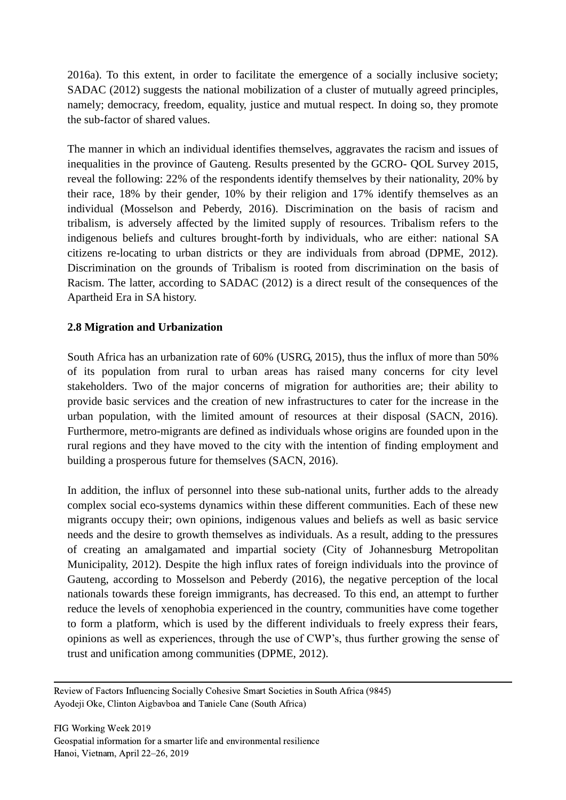2016a). To this extent, in order to facilitate the emergence of a socially inclusive society; SADAC (2012) suggests the national mobilization of a cluster of mutually agreed principles, namely; democracy, freedom, equality, justice and mutual respect. In doing so, they promote the sub-factor of shared values.

The manner in which an individual identifies themselves, aggravates the racism and issues of inequalities in the province of Gauteng. Results presented by the GCRO- QOL Survey 2015, reveal the following: 22% of the respondents identify themselves by their nationality, 20% by their race, 18% by their gender, 10% by their religion and 17% identify themselves as an individual (Mosselson and Peberdy, 2016). Discrimination on the basis of racism and tribalism, is adversely affected by the limited supply of resources. Tribalism refers to the indigenous beliefs and cultures brought-forth by individuals, who are either: national SA citizens re-locating to urban districts or they are individuals from abroad (DPME, 2012). Discrimination on the grounds of Tribalism is rooted from discrimination on the basis of Racism. The latter, according to SADAC (2012) is a direct result of the consequences of the Apartheid Era in SA history.

## **2.8 Migration and Urbanization**

South Africa has an urbanization rate of 60% (USRG, 2015), thus the influx of more than 50% of its population from rural to urban areas has raised many concerns for city level stakeholders. Two of the major concerns of migration for authorities are; their ability to provide basic services and the creation of new infrastructures to cater for the increase in the urban population, with the limited amount of resources at their disposal (SACN, 2016). Furthermore, metro-migrants are defined as individuals whose origins are founded upon in the rural regions and they have moved to the city with the intention of finding employment and building a prosperous future for themselves (SACN, 2016).

In addition, the influx of personnel into these sub-national units, further adds to the already complex social eco-systems dynamics within these different communities. Each of these new migrants occupy their; own opinions, indigenous values and beliefs as well as basic service needs and the desire to growth themselves as individuals. As a result, adding to the pressures of creating an amalgamated and impartial society (City of Johannesburg Metropolitan Municipality, 2012). Despite the high influx rates of foreign individuals into the province of Gauteng, according to Mosselson and Peberdy (2016), the negative perception of the local nationals towards these foreign immigrants, has decreased. To this end, an attempt to further reduce the levels of xenophobia experienced in the country, communities have come together to form a platform, which is used by the different individuals to freely express their fears, opinions as well as experiences, through the use of CWP's, thus further growing the sense of trust and unification among communities (DPME, 2012).

Review of Factors Influencing Socially Cohesive Smart Societies in South Africa (9845) Ayodeji Oke, Clinton Aigbavboa and Taniele Cane (South Africa)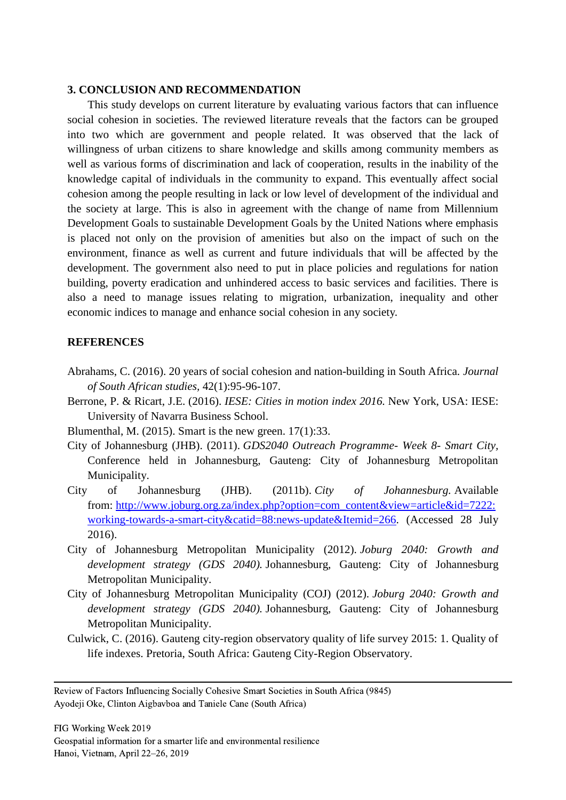#### **3. CONCLUSION AND RECOMMENDATION**

This study develops on current literature by evaluating various factors that can influence social cohesion in societies. The reviewed literature reveals that the factors can be grouped into two which are government and people related. It was observed that the lack of willingness of urban citizens to share knowledge and skills among community members as well as various forms of discrimination and lack of cooperation, results in the inability of the knowledge capital of individuals in the community to expand. This eventually affect social cohesion among the people resulting in lack or low level of development of the individual and the society at large. This is also in agreement with the change of name from Millennium Development Goals to sustainable Development Goals by the United Nations where emphasis is placed not only on the provision of amenities but also on the impact of such on the environment, finance as well as current and future individuals that will be affected by the development. The government also need to put in place policies and regulations for nation building, poverty eradication and unhindered access to basic services and facilities. There is also a need to manage issues relating to migration, urbanization, inequality and other economic indices to manage and enhance social cohesion in any society.

#### **REFERENCES**

- Abrahams, C. (2016). 20 years of social cohesion and nation-building in South Africa. *Journal of South African studies,* 42(1):95-96-107.
- Berrone, P. & Ricart, J.E. (2016). *IESE: Cities in motion index 2016.* New York, USA: IESE: University of Navarra Business School.
- Blumenthal, M. (2015). Smart is the new green. 17(1):33.
- City of Johannesburg (JHB). (2011). *GDS2040 Outreach Programme- Week 8- Smart City,*  Conference held in Johannesburg, Gauteng: City of Johannesburg Metropolitan Municipality.
- City of Johannesburg (JHB). (2011b). *City of Johannesburg.* Available from: [http://www.joburg.org.za/index.php?option=com\\_content&view=article&id=7222:](http://www.joburg.org.za/index.php?option=com_content&view=article&id=7222:working-towards-a-smart-city&catid=88:news-update&Itemid=266) [working-towards-a-smart-city&catid=88:news-update&Itemid=266.](http://www.joburg.org.za/index.php?option=com_content&view=article&id=7222:working-towards-a-smart-city&catid=88:news-update&Itemid=266) (Accessed 28 July 2016).
- City of Johannesburg Metropolitan Municipality (2012). *Joburg 2040: Growth and development strategy (GDS 2040).* Johannesburg, Gauteng: City of Johannesburg Metropolitan Municipality.
- City of Johannesburg Metropolitan Municipality (COJ) (2012). *Joburg 2040: Growth and development strategy (GDS 2040).* Johannesburg, Gauteng: City of Johannesburg Metropolitan Municipality.
- Culwick, C. (2016). Gauteng city-region observatory quality of life survey 2015: 1. Quality of life indexes. Pretoria, South Africa: Gauteng City-Region Observatory.

Review of Factors Influencing Socially Cohesive Smart Societies in South Africa (9845) Ayodeji Oke, Clinton Aigbavboa and Taniele Cane (South Africa)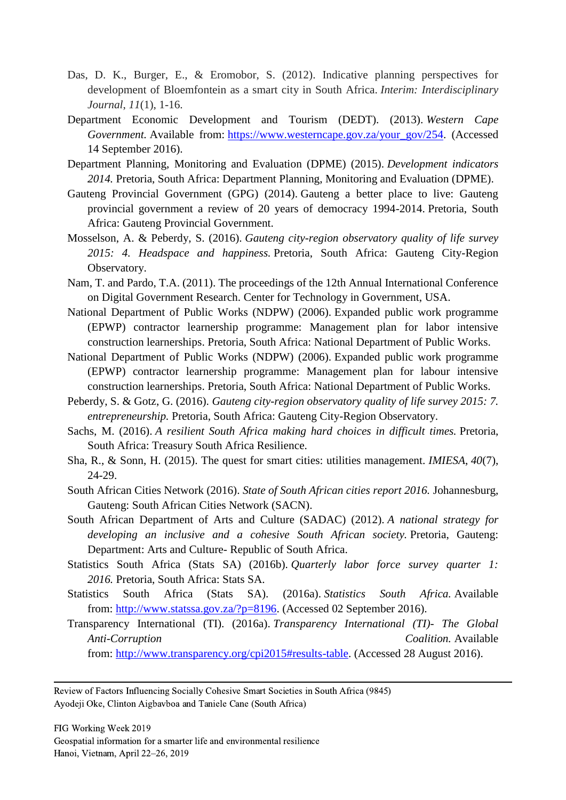- Das, D. K., Burger, E., & Eromobor, S. (2012). Indicative planning perspectives for development of Bloemfontein as a smart city in South Africa. *Interim: Interdisciplinary Journal*, *11*(1), 1-16.
- Department Economic Development and Tourism (DEDT). (2013). *Western Cape Government.* Available from: [https://www.westerncape.gov.za/your\\_gov/254.](https://www.westerncape.gov.za/your_gov/254) (Accessed 14 September 2016).
- Department Planning, Monitoring and Evaluation (DPME) (2015). *Development indicators 2014.* Pretoria, South Africa: Department Planning, Monitoring and Evaluation (DPME).
- Gauteng Provincial Government (GPG) (2014). Gauteng a better place to live: Gauteng provincial government a review of 20 years of democracy 1994-2014. Pretoria, South Africa: Gauteng Provincial Government.
- Mosselson, A. & Peberdy, S. (2016). *Gauteng city-region observatory quality of life survey 2015: 4. Headspace and happiness.* Pretoria, South Africa: Gauteng City-Region Observatory.
- Nam, T. and Pardo, T.A. (2011). The proceedings of the 12th Annual International Conference on Digital Government Research. Center for Technology in Government, USA.
- National Department of Public Works (NDPW) (2006). Expanded public work programme (EPWP) contractor learnership programme: Management plan for labor intensive construction learnerships. Pretoria, South Africa: National Department of Public Works.
- National Department of Public Works (NDPW) (2006). Expanded public work programme (EPWP) contractor learnership programme: Management plan for labour intensive construction learnerships. Pretoria, South Africa: National Department of Public Works.
- Peberdy, S. & Gotz, G. (2016). *Gauteng city-region observatory quality of life survey 2015: 7. entrepreneurship.* Pretoria, South Africa: Gauteng City-Region Observatory.
- Sachs, M. (2016). *A resilient South Africa making hard choices in difficult times.* Pretoria, South Africa: Treasury South Africa Resilience.
- Sha, R., & Sonn, H. (2015). The quest for smart cities: utilities management. *IMIESA*, *40*(7), 24-29.
- South African Cities Network (2016). *State of South African cities report 2016.* Johannesburg, Gauteng: South African Cities Network (SACN).
- South African Department of Arts and Culture (SADAC) (2012). *A national strategy for developing an inclusive and a cohesive South African society.* Pretoria, Gauteng: Department: Arts and Culture- Republic of South Africa.
- Statistics South Africa (Stats SA) (2016b). *Quarterly labor force survey quarter 1: 2016.* Pretoria, South Africa: Stats SA.
- Statistics South Africa (Stats SA). (2016a). *Statistics South Africa.* Available from: [http://www.statssa.gov.za/?p=8196.](http://www.statssa.gov.za/?p=8196) (Accessed 02 September 2016).
- Transparency International (TI). (2016a). *Transparency International (TI)- The Global Anti-Corruption Coalition.* Available

from: [http://www.transparency.org/cpi2015#results-table.](http://www.transparency.org/cpi2015#results-table) (Accessed 28 August 2016).

Review of Factors Influencing Socially Cohesive Smart Societies in South Africa (9845) Ayodeji Oke, Clinton Aigbavboa and Taniele Cane (South Africa)